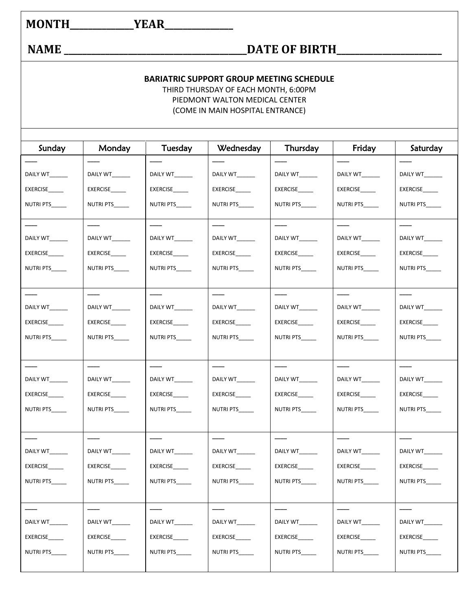## **MONTH\_\_\_\_\_\_\_\_\_\_\_\_\_\_YEAR\_\_\_\_\_\_\_\_\_\_\_\_\_\_\_**

## **NAME \_\_\_\_\_\_\_\_\_\_\_\_\_\_\_\_\_\_\_\_\_\_\_\_\_\_\_\_\_\_\_\_\_\_\_\_\_\_\_\_DATE OF BIRTH\_\_\_\_\_\_\_\_\_\_\_\_\_\_\_\_\_\_\_\_\_\_\_**

## **BARIATRIC SUPPORT GROUP MEETING SCHEDULE**

THIRD THURSDAY OF EACH MONTH, 6:00PM PIEDMONT WALTON MEDICAL CENTER (COME IN MAIN HOSPITAL ENTRANCE)

| Sunday           | Monday          | Tuesday         | Wednesday       | Thursday        | Friday           | Saturday        |
|------------------|-----------------|-----------------|-----------------|-----------------|------------------|-----------------|
|                  |                 |                 |                 |                 |                  |                 |
| DAILY WT_______  | DAILY WT_______ | DAILY WT______  | DAILY WT______  | DAILY WT_______ | DAILY WT______   | DAILY WT_______ |
| <b>EXERCISE</b>  | <b>EXERCISE</b> | <b>EXERCISE</b> | <b>EXERCISE</b> | <b>EXERCISE</b> | <b>EXERCISE</b>  | EXERCISE        |
| NUTRI PTS_____   | NUTRI PTS       | NUTRI PTS       | NUTRI PTS       | NUTRI PTS       | NUTRI PTS        | NUTRI PTS       |
|                  |                 |                 |                 |                 |                  |                 |
| DAILY WT_______  | DAILY WT_______ | DAILY WT_______ | DAILY WT_______ | DAILY WT______  | DAILY WT_______  | DAILY WT______  |
| <b>EXERCISE</b>  | EXERCISE____    | <b>EXERCISE</b> | <b>EXERCISE</b> | <b>EXERCISE</b> | <b>EXERCISE</b>  | EXERCISE        |
| NUTRI PTS        | NUTRI PTS       | NUTRI PTS       | NUTRI PTS       | NUTRI PTS       | <b>NUTRI PTS</b> | NUTRI PTS_____  |
|                  |                 |                 |                 |                 |                  |                 |
|                  |                 |                 |                 |                 |                  |                 |
| DAILY WT_______  | DAILY WT_______ | DAILY WT_______ | DAILY WT_______ | DAILY WT        | DAILY WT         | DAILY WT        |
| EXERCISE         | <b>EXERCISE</b> | EXERCISE        | EXERCISE        | EXERCISE        | <b>EXERCISE</b>  | EXERCISE        |
| <b>NUTRI PTS</b> | NUTRI PTS       | NUTRI PTS       | NUTRI PTS       | NUTRI PTS       | NUTRI PTS        | NUTRI PTS       |
|                  |                 |                 |                 |                 |                  |                 |
|                  |                 |                 |                 |                 |                  |                 |
| DAILY WT         | DAILY WT        | DAILY WT        | DAILY WT        | DAILY WT        | DAILY WT         | DAILY WT        |
| <b>EXERCISE</b>  | <b>EXERCISE</b> | <b>EXERCISE</b> | EXERCISE        | <b>EXERCISE</b> | <b>EXERCISE</b>  | EXERCISE        |
| NUTRI PTS_____   | NUTRI PTS       | NUTRI PTS_____  | NUTRI PTS_____  | NUTRI PTS       | <b>NUTRI PTS</b> | NUTRI PTS_____  |
|                  |                 |                 |                 |                 |                  |                 |
|                  |                 |                 |                 |                 |                  |                 |
| DAILY WT______   | DAILY WT_______ | <b>DAILY WT</b> | DAILY WT        | <b>DAILY WT</b> | DAILY WT         | DAILY WT_______ |
| <b>EXERCISE</b>  | <b>EXERCISE</b> | <b>EXERCISE</b> | <b>EXERCISE</b> | <b>EXERCISE</b> | <b>EXERCISE</b>  | <b>EXERCISE</b> |
| NUTRI PTS_____   | NUTRI PTS_____  | NUTRI PTS_____  | NUTRI PTS_____  | NUTRI PTS_____  | NUTRI PTS_____   | NUTRI PTS_____  |
|                  |                 |                 |                 |                 |                  |                 |
|                  |                 |                 |                 |                 |                  |                 |
| DAILY WT_______  | DAILY WT_______ | DAILY WT_______ | DAILY WT_______ | DAILY WT_______ | DAILY WT_______  | DAILY WT_______ |
| EXERCISE         | EXERCISE        | EXERCISE        | EXERCISE        | EXERCISE        | EXERCISE_____    | EXERCISE_____   |
| NUTRI PTS_____   | NUTRI PTS_____  | NUTRI PTS_____  | NUTRI PTS_____  | NUTRI PTS_____  | NUTRI PTS_____   | NUTRI PTS_____  |
|                  |                 |                 |                 |                 |                  |                 |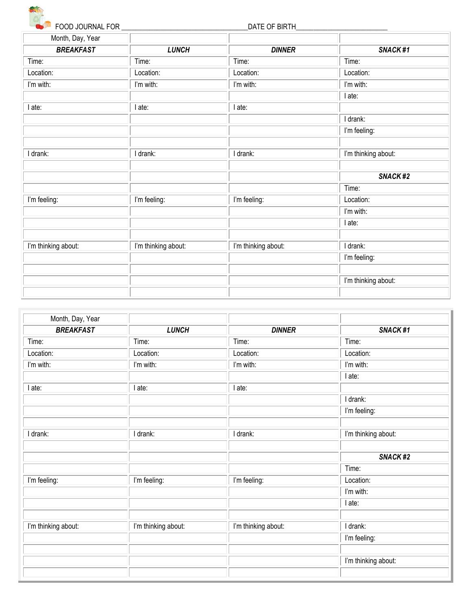

FOOD JOURNAL FOR \_\_\_\_\_\_\_\_\_\_\_\_\_\_\_\_\_\_\_\_\_\_\_\_\_\_\_\_\_\_\_\_\_\_\_\_DATE OF BIRTH\_\_\_\_\_\_\_\_\_\_\_\_\_\_\_\_\_\_\_\_\_\_\_\_\_\_

| Month, Day, Year    |                     |                     |                     |
|---------------------|---------------------|---------------------|---------------------|
| <b>BREAKFAST</b>    | <b>LUNCH</b>        | <b>DINNER</b>       | SNACK#1             |
| Time:               | Time:               | Time:               | Time:               |
| Location:           | Location:           | Location:           | Location:           |
| I'm with:           | I'm with:           | I'm with:           | I'm with:           |
|                     |                     |                     | l ate:              |
| l ate:              | I ate:              | I ate:              |                     |
|                     |                     |                     | I drank:            |
|                     |                     |                     | I'm feeling:        |
|                     |                     |                     |                     |
| I drank:            | I drank:            | I drank:            | I'm thinking about: |
|                     |                     |                     |                     |
|                     |                     |                     | SNACK#2             |
|                     |                     |                     | Time:               |
| I'm feeling:        | I'm feeling:        | I'm feeling:        | Location:           |
|                     |                     |                     | I'm with:           |
|                     |                     |                     | l ate:              |
|                     |                     |                     |                     |
| I'm thinking about: | I'm thinking about: | I'm thinking about: | I drank:            |
|                     |                     |                     | I'm feeling:        |
|                     |                     |                     |                     |
|                     |                     |                     | I'm thinking about: |
|                     |                     |                     |                     |

| Month, Day, Year    |                     |                     |                     |
|---------------------|---------------------|---------------------|---------------------|
| <b>BREAKFAST</b>    | <b>LUNCH</b>        | <b>DINNER</b>       | SNACK#1             |
| Time:               | Time:               | Time:               | Time:               |
| Location:           | Location:           | Location:           | Location:           |
| I'm with:           | I'm with:           | I'm with:           | I'm with:           |
|                     |                     |                     | l ate:              |
| I ate:              | I ate:              | I ate:              |                     |
|                     |                     |                     | I drank:            |
|                     |                     |                     | I'm feeling:        |
|                     |                     |                     |                     |
| I drank:            | I drank:            | I drank:            | I'm thinking about: |
|                     |                     |                     |                     |
|                     |                     |                     | SNACK#2             |
|                     |                     |                     | Time:               |
| I'm feeling:        | I'm feeling:        | I'm feeling:        | Location:           |
|                     |                     |                     | I'm with:           |
|                     |                     |                     | I ate:              |
|                     |                     |                     |                     |
| I'm thinking about: | I'm thinking about: | I'm thinking about: | I drank:            |
|                     |                     |                     | I'm feeling:        |
|                     |                     |                     |                     |
|                     |                     |                     | I'm thinking about: |
|                     |                     |                     |                     |